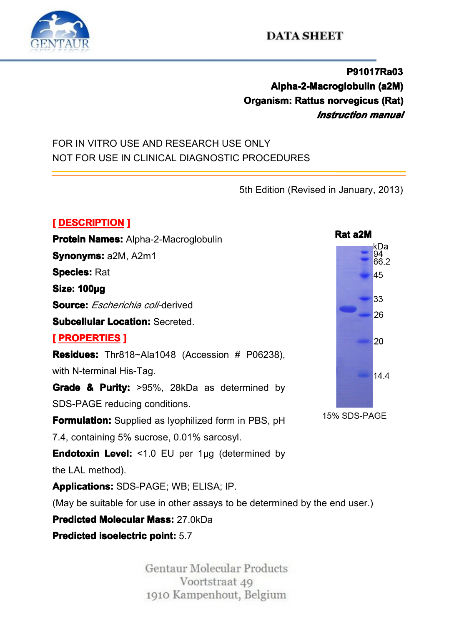

### **DATA SHEET**

**P91017Ra03 Alpha-2-Macroglobulin (a2M)**<br>**Organism: Rattus norvegicus (Rat)**<br>*Instruction manual*<br>POR IN VITRO USE AND RESEARCH USE ONLY<br>NOT FOR USE IN CLINICAL DIAGNOSTIC PROCEDURES **Organism: Rattus anism: norvegicus <sup>s</sup> (Rat) vegicus(Rat)** *Instruction Instruction manual*

### FOR IN VITRO USE AND RESEARCH USE ONLY NOT FOR USE IN CLINICAL DIAGNOSTIC PROCEDURES<br>
Sth Edition (Revi

**[** DESCRIPTION ]<br>Protein Names: /<br>Synonyms: a2M,<br>Species: Rat **Protein Names:** Alpha-2-Macroglobulin<br> **Synonyms:** a2M, A2m1<br> **Species:** Rat<br> **Size: 100µg**<br> **Seuree:** Escharichie es@diderived **Protein Names:** Alpha-2-Macroglobulin<br>**Synonyms:** a2M, A2m1<br>**Species:** Rat<br>**Size: 100µg**<br>**Source:** *Escherichia coli-*derived<br>**Subcellular Location:** Secreted. **Species:** Rat **Size: 100µg**<br>**Source:** *Est*<br>**Subcellular**<br>**[** PROPERT **Source:** *Escherichia coli-*derived<br> **Subcellular Location:** Secreted.<br> **[PROPERTIES ]**<br> **Residues:** Thr818~Ala1048 (Advith N-terminal His-Tag. **Residues:** Thr818~Ala1048 (Accession: # P06238), **EXPORERTIES**<br> **Residues:** Thr8<br>
with N-terminal H<br> **Grade & Purity Residues:** Thr818~Ala1048 (Accession # P06238),<br>with N-terminal His-Tag.<br>Grade & Purity: >95%, 28kDa as determined by<br>SDS-PAGE reducing conditions. with N-terminal His-Tag.<br>
Grade & Purity: >95°<br>
SDS-PAGE reducing co<br>
Formulation: Supplied **Grade & Purity:** >95%, 28kDa as determined by<br>SDS-PAGE reducing conditions.<br>**Formulation:** Supplied as lyophilized form in PBS, pH<br>7.4, containing 5% sucrose, 0.01% sarcosyl. SDS-PAGE reducing conditions.<br>**Formulation:** Supplied as lyoph<br>7.4, containing 5% sucrose, 0.01<br>**Endotoxin Level:** <1.0 EU pe **Formulation:** Supplied as lyophilized form in PBS, pH<br>7.4, containing 5% sucrose, 0.01% sarcosyl.<br>**Endotoxin Level:** <1.0 EU per 1µg (determined by<br>the LAL method). 7.4, containing 5% sucrose, 0.01% sarcosyl.<br> **Endotoxin Level:** <1.0 EU per 1µg (determine LAL method).<br> **Applications:** SDS-PAGE; WB; ELISA; IP. **Endotoxin Level:** <1.0 EU per 1µg (determined by the LAL method).<br> **Applications:** SDS-PAGE; WB; ELISA; IP.<br>
(May be suitable for use in other assays to be determin<br> **Predicted Molecular Mass:** 27 0kDa the LAL method).<br> **Applications:** SI<br>
(May be suitable<br> **Predicted Molec Applications:**SDS-PAGE; WB; ELISA; IP. (May be suitable for use in other assays to be determined by the end user.)<br> **Predicted Molecular Mass:** 27.0kDa<br> **Predicted isoelectric point:** 5.7<br>
Gentaur Molecular Products **Predicted Molecular Mass:** 27.0kDa<br>**Predicted isoelectric point:** 5.7<br>Gentaur Mole

**Predicted isoelectric point:** 5.7<br>Gentaur Molecular Products<br>Voortstraat 49<br>1910 Kampenhout, Belgium